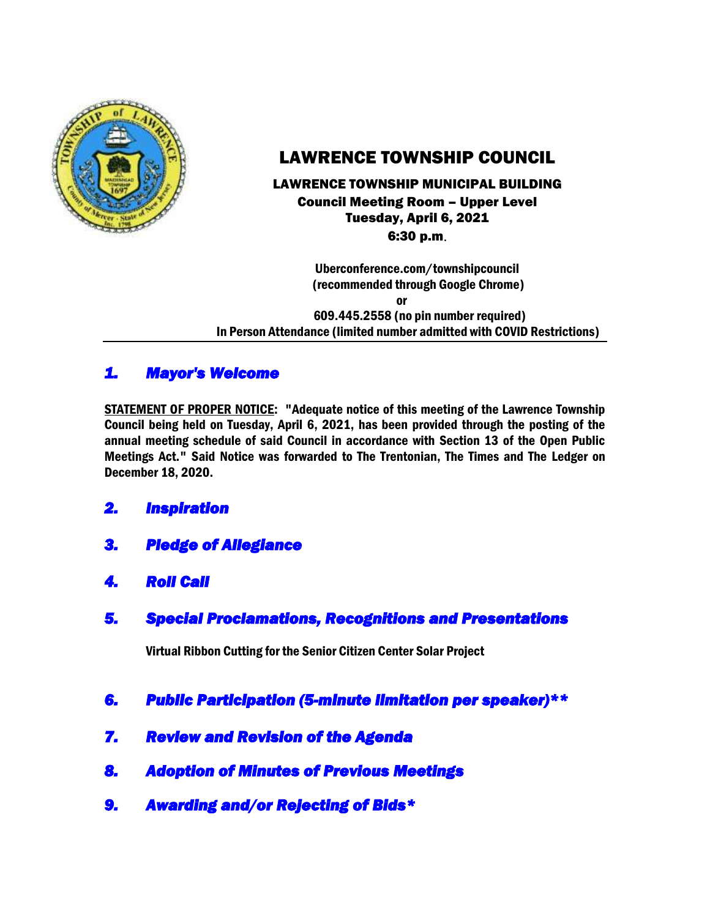

# LAWRENCE TOWNSHIP COUNCIL

#### LAWRENCE TOWNSHIP MUNICIPAL BUILDING Council Meeting Room – Upper Level Tuesday, April 6, 2021 6:30 p.m.

 Uberconference.com/townshipcouncil (recommended through Google Chrome)

 or 609.445.2558 (no pin number required) In Person Attendance (limited number admitted with COVID Restrictions)

## *1. Mayor's Welcome*

STATEMENT OF PROPER NOTICE: "Adequate notice of this meeting of the Lawrence Township Council being held on Tuesday, April 6, 2021, has been provided through the posting of the annual meeting schedule of said Council in accordance with Section 13 of the Open Public Meetings Act." Said Notice was forwarded to The Trentonian, The Times and The Ledger on December 18, 2020.

## *2. Inspiration*

- *3. Pledge of Allegiance*
- *4. Roll Call*
- *5. Special Proclamations, Recognitions and Presentations*

Virtual Ribbon Cutting for the Senior Citizen Center Solar Project

- *6. Public Participation (5-minute limitation per speaker)\*\**
- *7. Review and Revision of the Agenda*
- *8. Adoption of Minutes of Previous Meetings*
- *9. Awarding and/or Rejecting of Bids\**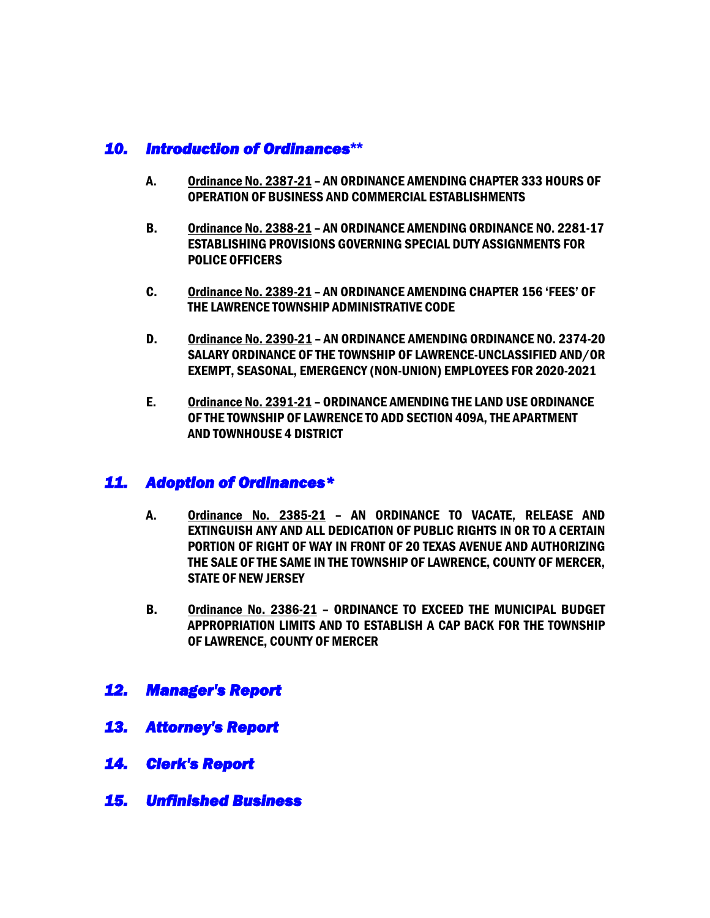## *10. Introduction of Ordinances***\*\***

- A. Ordinance No. 2387-21 AN ORDINANCE AMENDING CHAPTER 333 HOURS OF OPERATION OF BUSINESS AND COMMERCIAL ESTABLISHMENTS
- B. Ordinance No. 2388-21 AN ORDINANCE AMENDING ORDINANCE NO. 2281-17 ESTABLISHING PROVISIONS GOVERNING SPECIAL DUTY ASSIGNMENTS FOR POLICE OFFICERS
- C. Ordinance No. 2389-21 AN ORDINANCE AMENDING CHAPTER 156 'FEES' OF THE LAWRENCE TOWNSHIP ADMINISTRATIVE CODE
- D. Ordinance No. 2390-21 AN ORDINANCE AMENDING ORDINANCE NO. 2374-20 SALARY ORDINANCE OF THE TOWNSHIP OF LAWRENCE-UNCLASSIFIED AND/OR EXEMPT, SEASONAL, EMERGENCY (NON-UNION) EMPLOYEES FOR 2020-2021
- E. Ordinance No. 2391-21 ORDINANCE AMENDING THE LAND USE ORDINANCE OF THE TOWNSHIP OF LAWRENCE TO ADD SECTION 409A, THE APARTMENT AND TOWNHOUSE 4 DISTRICT

## *11. Adoption of Ordinances\**

- A. Ordinance No. 2385-21 AN ORDINANCE TO VACATE, RELEASE AND EXTINGUISH ANY AND ALL DEDICATION OF PUBLIC RIGHTS IN OR TO A CERTAIN PORTION OF RIGHT OF WAY IN FRONT OF 20 TEXAS AVENUE AND AUTHORIZING THE SALE OF THE SAME IN THE TOWNSHIP OF LAWRENCE, COUNTY OF MERCER, STATE OF NEW JERSEY
- B. Ordinance No. 2386-21 ORDINANCE TO EXCEED THE MUNICIPAL BUDGET APPROPRIATION LIMITS AND TO ESTABLISH A CAP BACK FOR THE TOWNSHIP OF LAWRENCE, COUNTY OF MERCER
- *12. Manager's Report*
- *13. Attorney's Report*
- *14. Clerk's Report*
- *15. Unfinished Business*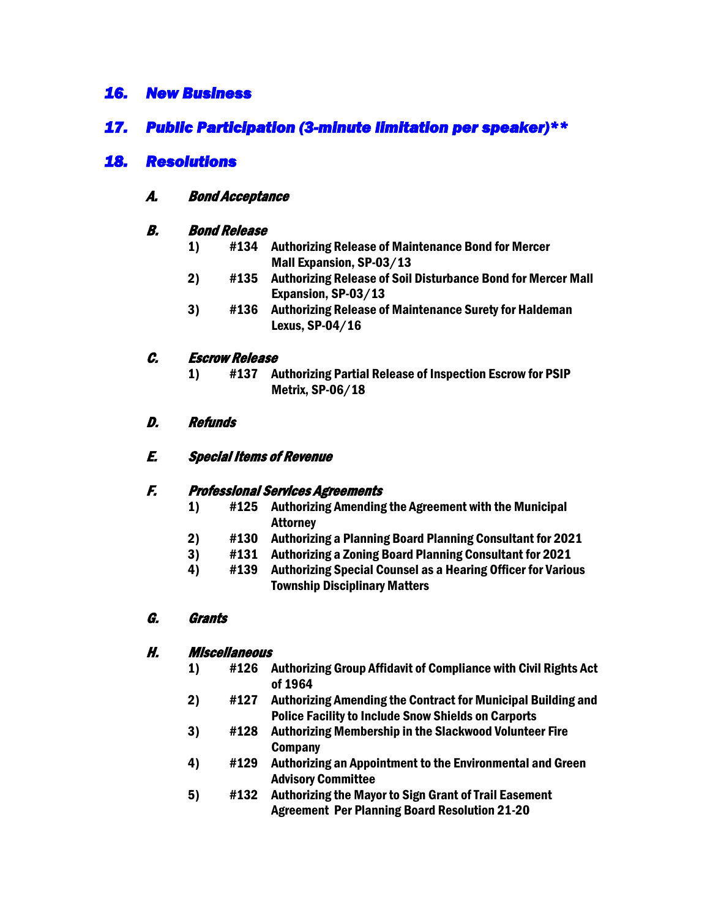## *16. New Business*

## *17. Public Participation (3-minute limitation per speaker)\*\**

## *18. Resolutions*

#### A. Bond Acceptance

#### B. Bond Release

- 1) #134 Authorizing Release of Maintenance Bond for Mercer Mall Expansion, SP-03/13
- 2) #135 Authorizing Release of Soil Disturbance Bond for Mercer Mall Expansion, SP-03/13
- 3) #136 Authorizing Release of Maintenance Surety for Haldeman Lexus, SP-04/16

### C. Escrow Release

1) #137 Authorizing Partial Release of Inspection Escrow for PSIP Metrix, SP-06/18

#### D. Refunds

#### E. Special Items of Revenue

#### F. Professional Services Agreements

- 1) #125 Authorizing Amending the Agreement with the Municipal **Attorney**
- 2) #130 Authorizing a Planning Board Planning Consultant for 2021
- 3) #131 Authorizing a Zoning Board Planning Consultant for 2021
- 4) #139 Authorizing Special Counsel as a Hearing Officer for Various Township Disciplinary Matters

#### G. Grants

#### H. Miscellaneous

- 1) #126 Authorizing Group Affidavit of Compliance with Civil Rights Act of 1964
- 2) #127 Authorizing Amending the Contract for Municipal Building and Police Facility to Include Snow Shields on Carports
- 3) #128 Authorizing Membership in the Slackwood Volunteer Fire **Company**
- 4) #129 Authorizing an Appointment to the Environmental and Green Advisory Committee
- 5) #132 Authorizing the Mayor to Sign Grant of Trail Easement Agreement Per Planning Board Resolution 21-20